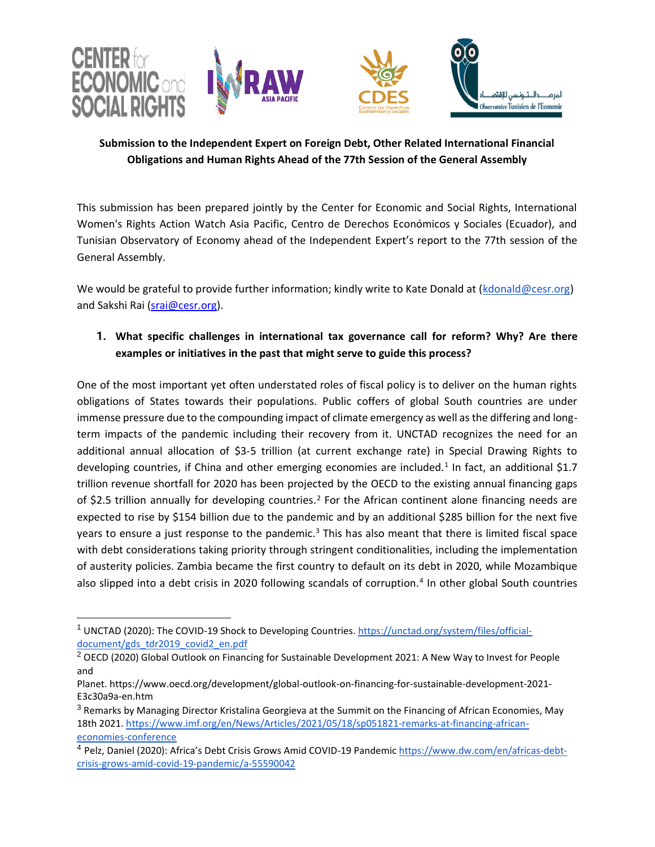

# **Submission to the Independent Expert on Foreign Debt, Other Related International Financial Obligations and Human Rights Ahead of the 77th Session of the General Assembly**

This submission has been prepared jointly by the Center for Economic and Social Rights, International Women's Rights Action Watch Asia Pacific, Centro de Derechos Económicos y Sociales (Ecuador), and Tunisian Observatory of Economy ahead of the Independent Expert's report to the 77th session of the General Assembly.

We would be grateful to provide further information; kindly write to Kate Donald at [\(kdonald@cesr.org\)](mailto:kdonald@cesr.org) and Sakshi Rai [\(srai@cesr.org\)](mailto:srai@cesr.org).

# **1. What specific challenges in international tax governance call for reform? Why? Are there examples or initiatives in the past that might serve to guide this process?**

One of the most important yet often understated roles of fiscal policy is to deliver on the human rights obligations of States towards their populations. Public coffers of global South countries are under immense pressure due to the compounding impact of climate emergency as well as the differing and longterm impacts of the pandemic including their recovery from it. UNCTAD recognizes the need for an additional annual allocation of \$3-5 trillion (at current exchange rate) in Special Drawing Rights to developing countries, if China and other emerging economies are included.<sup>1</sup> In fact, an additional \$1.7 trillion revenue shortfall for 2020 has been projected by the OECD to the existing annual financing gaps of \$2.5 trillion annually for developing countries.<sup>2</sup> For the African continent alone financing needs are expected to rise by \$154 billion due to the pandemic and by an additional \$285 billion for the next five years to ensure a just response to the pandemic. $3$  This has also meant that there is limited fiscal space with debt considerations taking priority through stringent conditionalities, including the implementation of austerity policies. Zambia became the first country to default on its debt in 2020, while Mozambique also slipped into a debt crisis in 2020 following scandals of corruption.<sup>4</sup> In other global South countries

<sup>&</sup>lt;sup>1</sup> UNCTAD (2020): The COVID-19 Shock to Developing Countries[. https://unctad.org/system/files/official](https://unctad.org/system/files/official-document/gds_tdr2019_covid2_en.pdf)[document/gds\\_tdr2019\\_covid2\\_en.pdf](https://unctad.org/system/files/official-document/gds_tdr2019_covid2_en.pdf) 

 $2$  OECD (2020) Global Outlook on Financing for Sustainable Development 2021: A New Way to Invest for People and

Planet. https://www.oecd.org/development/global-outlook-on-financing-for-sustainable-development-2021- E3c30a9a-en.htm

<sup>&</sup>lt;sup>3</sup> Remarks by Managing Director Kristalina Georgieva at the Summit on the Financing of African Economies, May 18th 2021. [https://www.imf.org/en/News/Articles/2021/05/18/sp051821-remarks-at-financing-african](https://www.imf.org/en/News/Articles/2021/05/18/sp051821-remarks-at-financing-african-economies-conference)[economies-conference](https://www.imf.org/en/News/Articles/2021/05/18/sp051821-remarks-at-financing-african-economies-conference)

<sup>&</sup>lt;sup>4</sup> Pelz, Daniel (2020): Africa's Debt Crisis Grows Amid COVID-19 Pandemic [https://www.dw.com/en/africas-debt](https://www.dw.com/en/africas-debt-crisis-grows-amid-covid-19-pandemic/a-55590042)[crisis-grows-amid-covid-19-pandemic/a-55590042](https://www.dw.com/en/africas-debt-crisis-grows-amid-covid-19-pandemic/a-55590042)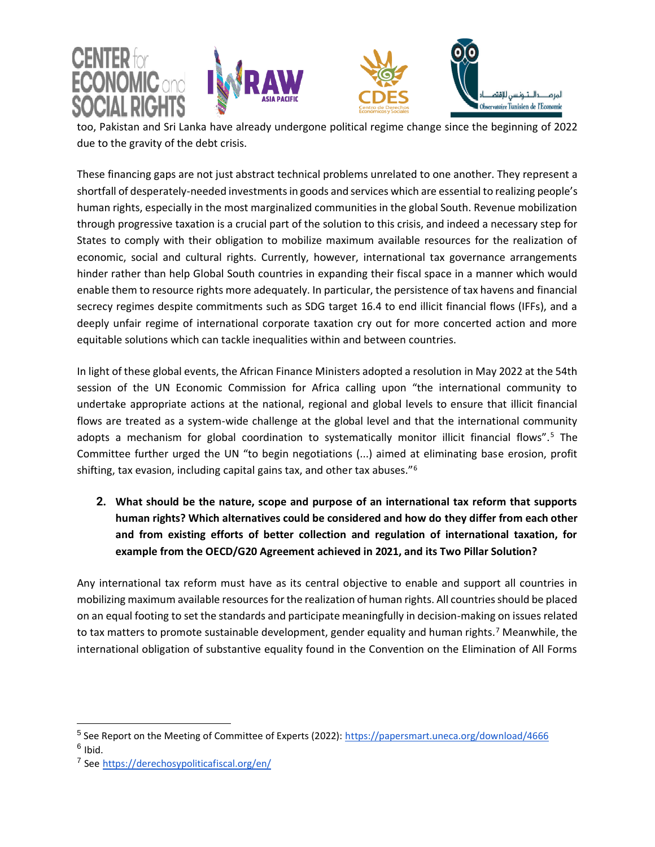







L too, Pakistan and Sri Lanka have already undergone political regime change since the beginning of 2022 due to the gravity of the debt crisis.

These financing gaps are not just abstract technical problems unrelated to one another. They represent a shortfall of desperately-needed investments in goods and services which are essential to realizing people's human rights, especially in the most marginalized communities in the global South. Revenue mobilization through progressive taxation is a crucial part of the solution to this crisis, and indeed a necessary step for States to comply with their obligation to mobilize maximum available resources for the realization of economic, social and cultural rights. Currently, however, international tax governance arrangements hinder rather than help Global South countries in expanding their fiscal space in a manner which would enable them to resource rights more adequately. In particular, the persistence of tax havens and financial secrecy regimes despite commitments such as SDG target 16.4 to end illicit financial flows (IFFs), and a deeply unfair regime of international corporate taxation cry out for more concerted action and more equitable solutions which can tackle inequalities within and between countries.

In light of these global events, the African Finance Ministers adopted a resolution in May 2022 at the 54th session of the UN Economic Commission for Africa calling upon "the international community to undertake appropriate actions at the national, regional and global levels to ensure that illicit financial flows are treated as a system-wide challenge at the global level and that the international community adopts a mechanism for global coordination to systematically monitor illicit financial flows".<sup>5</sup> The Committee further urged the UN "to begin negotiations (...) aimed at eliminating base erosion, profit shifting, tax evasion, including capital gains tax, and other tax abuses."<sup>6</sup>

**2. What should be the nature, scope and purpose of an international tax reform that supports human rights? Which alternatives could be considered and how do they differ from each other and from existing efforts of better collection and regulation of international taxation, for example from the OECD/G20 Agreement achieved in 2021, and its Two Pillar Solution?**

Any international tax reform must have as its central objective to enable and support all countries in mobilizing maximum available resources for the realization of human rights. All countries should be placed on an equal footing to set the standards and participate meaningfully in decision-making on issues related to tax matters to promote sustainable development, gender equality and human rights.<sup>7</sup> Meanwhile, the international obligation of substantive equality found in the Convention on the Elimination of All Forms

<sup>&</sup>lt;sup>5</sup> See Report on the Meeting of Committee of Experts (2022)[: https://papersmart.uneca.org/download/4666](https://papersmart.uneca.org/download/4666) <sup>6</sup> Ibid.

<sup>7</sup> See <https://derechosypoliticafiscal.org/en/>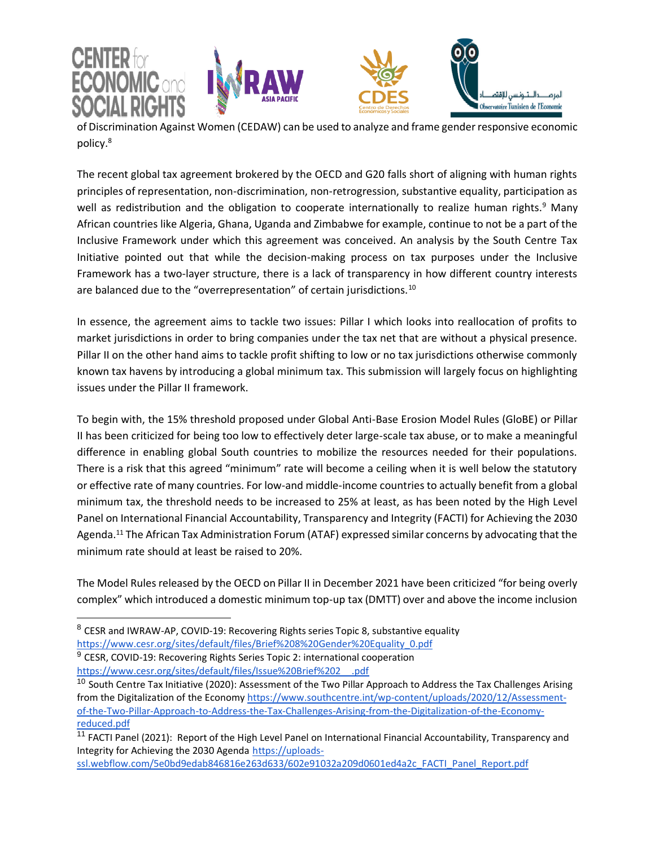







of Discrimination Against Women (CEDAW) can be used to analyze and frame gender responsive economic policy.<sup>8</sup>

The recent global tax agreement brokered by the OECD and G20 falls short of aligning with human rights principles of representation, non-discrimination, non-retrogression, substantive equality, participation as well as redistribution and the obligation to cooperate internationally to realize human rights.<sup>9</sup> Many African countries like Algeria, Ghana, Uganda and Zimbabwe for example, continue to not be a part of the Inclusive Framework under which this agreement was conceived. An analysis by the South Centre Tax Initiative pointed out that while the decision-making process on tax purposes under the Inclusive Framework has a two-layer structure, there is a lack of transparency in how different country interests are balanced due to the "overrepresentation" of certain jurisdictions.<sup>10</sup>

In essence, the agreement aims to tackle two issues: Pillar I which looks into reallocation of profits to market jurisdictions in order to bring companies under the tax net that are without a physical presence. Pillar II on the other hand aims to tackle profit shifting to low or no tax jurisdictions otherwise commonly known tax havens by introducing a global minimum tax. This submission will largely focus on highlighting issues under the Pillar II framework.

To begin with, the 15% threshold proposed under Global Anti-Base Erosion Model Rules (GloBE) or Pillar II has been criticized for being too low to effectively deter large-scale tax abuse, or to make a meaningful difference in enabling global South countries to mobilize the resources needed for their populations. There is a risk that this agreed "minimum" rate will become a ceiling when it is well below the statutory or effective rate of many countries. For low-and middle-income countries to actually benefit from a global minimum tax, the threshold needs to be increased to 25% at least, as has been noted by the High Level Panel on International Financial Accountability, Transparency and Integrity (FACTI) for Achieving the 2030 Agenda.<sup>11</sup> The African Tax Administration Forum (ATAF) expressed similar concerns by advocating that the minimum rate should at least be raised to 20%.

The Model Rules released by the OECD on Pillar II in December 2021 have been criticized "for being overly complex" which introduced a domestic minimum top-up tax (DMTT) over and above the income inclusion

<sup>9</sup> CESR, COVID-19: Recovering Rights Series Topic 2: international cooperation [https://www.cesr.org/sites/default/files/Issue%20Brief%202\\_\\_.pdf](https://www.cesr.org/sites/default/files/Issue%20Brief%202__.pdf) 

[ssl.webflow.com/5e0bd9edab846816e263d633/602e91032a209d0601ed4a2c\\_FACTI\\_Panel\\_Report.pdf](https://uploads-ssl.webflow.com/5e0bd9edab846816e263d633/602e91032a209d0601ed4a2c_FACTI_Panel_Report.pdf)

<sup>&</sup>lt;sup>8</sup> CESR and IWRAW-AP, COVID-19: Recovering Rights series Topic 8, substantive equality [https://www.cesr.org/sites/default/files/Brief%208%20Gender%20Equality\\_0.pdf](https://www.cesr.org/sites/default/files/Brief%208%20Gender%20Equality_0.pdf)

 $10$  South Centre Tax Initiative (2020): Assessment of the Two Pillar Approach to Address the Tax Challenges Arising from the Digitalization of the Econom[y https://www.southcentre.int/wp-content/uploads/2020/12/Assessment](https://www.southcentre.int/wp-content/uploads/2020/12/Assessment-of-the-Two-Pillar-Approach-to-Address-the-Tax-Challenges-Arising-from-the-Digitalization-of-the-Economy-reduced.pdf)[of-the-Two-Pillar-Approach-to-Address-the-Tax-Challenges-Arising-from-the-Digitalization-of-the-Economy](https://www.southcentre.int/wp-content/uploads/2020/12/Assessment-of-the-Two-Pillar-Approach-to-Address-the-Tax-Challenges-Arising-from-the-Digitalization-of-the-Economy-reduced.pdf)[reduced.pdf](https://www.southcentre.int/wp-content/uploads/2020/12/Assessment-of-the-Two-Pillar-Approach-to-Address-the-Tax-Challenges-Arising-from-the-Digitalization-of-the-Economy-reduced.pdf)

<sup>&</sup>lt;sup>11</sup> FACTI Panel (2021): Report of the High Level Panel on International Financial Accountability, Transparency and Integrity for Achieving the 2030 Agenda [https://uploads-](https://uploads-ssl.webflow.com/5e0bd9edab846816e263d633/602e91032a209d0601ed4a2c_FACTI_Panel_Report.pdf)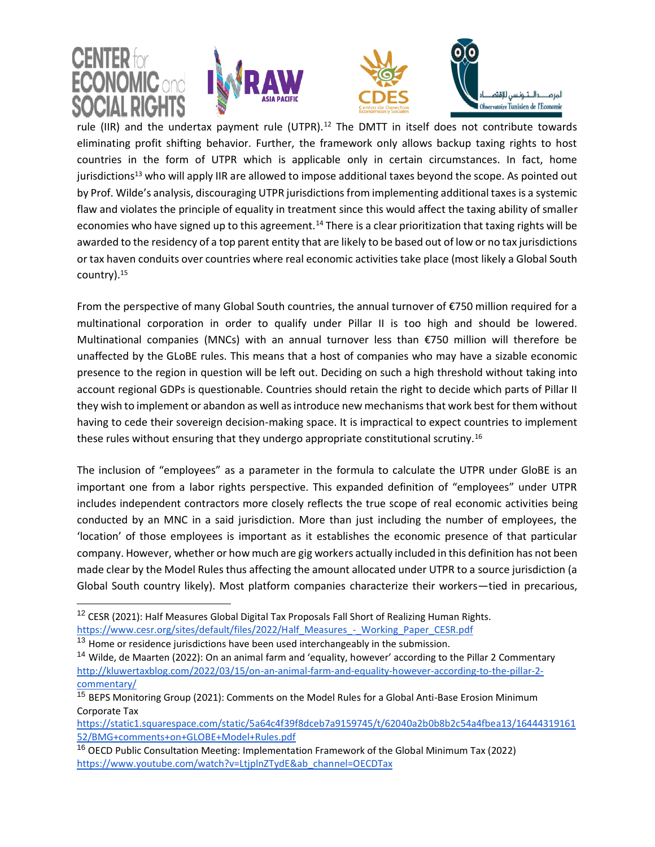

rule (IIR) and the undertax payment rule (UTPR).<sup>12</sup> The DMTT in itself does not contribute towards eliminating profit shifting behavior. Further, the framework only allows backup taxing rights to host countries in the form of UTPR which is applicable only in certain circumstances. In fact, home jurisdictions<sup>13</sup> who will apply IIR are allowed to impose additional taxes beyond the scope. As pointed out by Prof. Wilde's analysis, discouraging UTPR jurisdictions from implementing additional taxes is a systemic flaw and violates the principle of equality in treatment since this would affect the taxing ability of smaller economies who have signed up to this agreement.<sup>14</sup> There is a clear prioritization that taxing rights will be awarded to the residency of a top parent entity that are likely to be based out of low or no tax jurisdictions or tax haven conduits over countries where real economic activities take place (most likely a Global South country).<sup>15</sup>

From the perspective of many Global South countries, the annual turnover of €750 million required for a multinational corporation in order to qualify under Pillar II is too high and should be lowered. Multinational companies (MNCs) with an annual turnover less than €750 million will therefore be unaffected by the GLoBE rules. This means that a host of companies who may have a sizable economic presence to the region in question will be left out. Deciding on such a high threshold without taking into account regional GDPs is questionable. Countries should retain the right to decide which parts of Pillar II they wish to implement or abandon as well as introduce new mechanisms that work best for them without having to cede their sovereign decision-making space. It is impractical to expect countries to implement these rules without ensuring that they undergo appropriate constitutional scrutiny.<sup>16</sup>

The inclusion of "employees" as a parameter in the formula to calculate the UTPR under GloBE is an important one from a labor rights perspective. This expanded definition of "employees" under UTPR includes independent contractors more closely reflects the true scope of real economic activities being conducted by an MNC in a said jurisdiction. More than just including the number of employees, the 'location' of those employees is important as it establishes the economic presence of that particular company. However, whether or how much are gig workers actually included in this definition has not been made clear by the Model Rules thus affecting the amount allocated under UTPR to a source jurisdiction (a Global South country likely). Most platform companies characterize their workers—tied in precarious,

<sup>&</sup>lt;sup>12</sup> CESR (2021): Half Measures Global Digital Tax Proposals Fall Short of Realizing Human Rights. [https://www.cesr.org/sites/default/files/2022/Half\\_Measures\\_-\\_Working\\_Paper\\_CESR.pdf](https://www.cesr.org/sites/default/files/2022/Half_Measures_-_Working_Paper_CESR.pdf)

<sup>&</sup>lt;sup>13</sup> Home or residence jurisdictions have been used interchangeably in the submission.

<sup>&</sup>lt;sup>14</sup> Wilde, de Maarten (2022): On an animal farm and 'equality, however' according to the Pillar 2 Commentary [http://kluwertaxblog.com/2022/03/15/on-an-animal-farm-and-equality-however-according-to-the-pillar-2](http://kluwertaxblog.com/2022/03/15/on-an-animal-farm-and-equality-however-according-to-the-pillar-2-commentary/) [commentary/](http://kluwertaxblog.com/2022/03/15/on-an-animal-farm-and-equality-however-according-to-the-pillar-2-commentary/)

<sup>&</sup>lt;sup>15</sup> BEPS Monitoring Group (2021): Comments on the Model Rules for a Global Anti-Base Erosion Minimum Corporate Tax

[https://static1.squarespace.com/static/5a64c4f39f8dceb7a9159745/t/62040a2b0b8b2c54a4fbea13/16444319161](https://static1.squarespace.com/static/5a64c4f39f8dceb7a9159745/t/62040a2b0b8b2c54a4fbea13/1644431916152/BMG+comments+on+GLOBE+Model+Rules.pdf) [52/BMG+comments+on+GLOBE+Model+Rules.pdf](https://static1.squarespace.com/static/5a64c4f39f8dceb7a9159745/t/62040a2b0b8b2c54a4fbea13/1644431916152/BMG+comments+on+GLOBE+Model+Rules.pdf)

<sup>&</sup>lt;sup>16</sup> OECD Public Consultation Meeting: Implementation Framework of the Global Minimum Tax (2022) [https://www.youtube.com/watch?v=LtjplnZTydE&ab\\_channel=OECDTax](https://www.youtube.com/watch?v=LtjplnZTydE&ab_channel=OECDTax)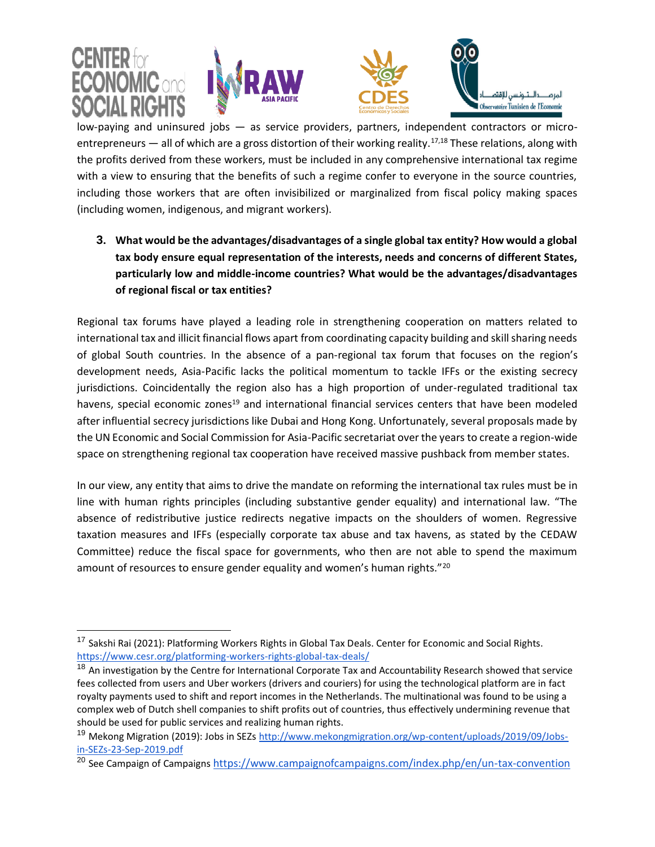







low-paying and uninsured jobs — as service providers, partners, independent contractors or microentrepreneurs — all of which are a gross distortion of their working reality.<sup>17,18</sup> These relations, along with the profits derived from these workers, must be included in any comprehensive international tax regime with a view to ensuring that the benefits of such a regime confer to everyone in the source countries, including those workers that are often invisibilized or marginalized from fiscal policy making spaces (including women, indigenous, and migrant workers).

**3. What would be the advantages/disadvantages of a single global tax entity? How would a global tax body ensure equal representation of the interests, needs and concerns of different States, particularly low and middle-income countries? What would be the advantages/disadvantages of regional fiscal or tax entities?**

Regional tax forums have played a leading role in strengthening cooperation on matters related to international tax and illicit financial flows apart from coordinating capacity building and skill sharing needs of global South countries. In the absence of a pan-regional tax forum that focuses on the region's development needs, Asia-Pacific lacks the political momentum to tackle IFFs or the existing secrecy jurisdictions. Coincidentally the region also has a high proportion of under-regulated traditional tax havens, special economic zones<sup>19</sup> and international financial services centers that have been modeled after influential secrecy jurisdictions like Dubai and Hong Kong. Unfortunately, several proposals made by the UN Economic and Social Commission for Asia-Pacific secretariat over the years to create a region-wide space on strengthening regional tax cooperation have received massive pushback from member states.

In our view, any entity that aims to drive the mandate on reforming the international tax rules must be in line with human rights principles (including substantive gender equality) and international law. "The absence of redistributive justice redirects negative impacts on the shoulders of women. Regressive taxation measures and IFFs (especially corporate tax abuse and tax havens, as stated by the CEDAW Committee) reduce the fiscal space for governments, who then are not able to spend the maximum amount of resources to ensure gender equality and women's human rights."<sup>20</sup>

<sup>&</sup>lt;sup>17</sup> Sakshi Rai (2021): Platforming Workers Rights in Global Tax Deals. Center for Economic and Social Rights. <https://www.cesr.org/platforming-workers-rights-global-tax-deals/>

<sup>&</sup>lt;sup>18</sup> An investigation by the Centre for International Corporate Tax and Accountability Research showed that service fees collected from users and Uber workers (drivers and couriers) for using the technological platform are in fact royalty payments used to shift and report incomes in the Netherlands. The multinational was found to be using a complex web of Dutch shell companies to shift profits out of countries, thus effectively undermining revenue that should be used for public services and realizing human rights.

<sup>&</sup>lt;sup>19</sup> Mekong Migration (2019): Jobs in SEZ[s http://www.mekongmigration.org/wp-content/uploads/2019/09/Jobs](http://www.mekongmigration.org/wp-content/uploads/2019/09/Jobs-in-SEZs-23-Sep-2019.pdf)[in-SEZs-23-Sep-2019.pdf](http://www.mekongmigration.org/wp-content/uploads/2019/09/Jobs-in-SEZs-23-Sep-2019.pdf)

<sup>&</sup>lt;sup>20</sup> See Campaign of Campaigns <https://www.campaignofcampaigns.com/index.php/en/un-tax-convention>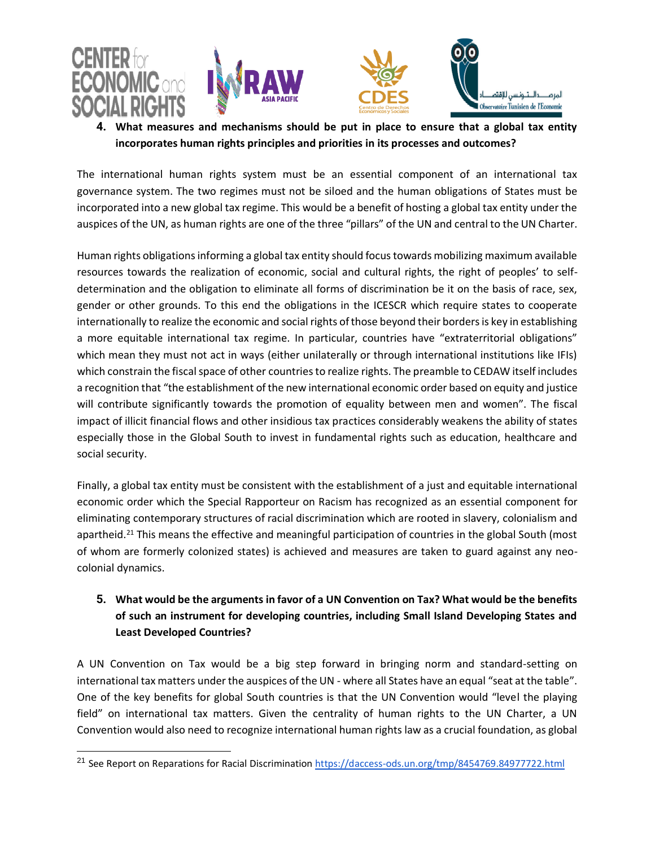

L







**4. What measures and mechanisms should be put in place to ensure that a global tax entity incorporates human rights principles and priorities in its processes and outcomes?**

The international human rights system must be an essential component of an international tax governance system. The two regimes must not be siloed and the human obligations of States must be incorporated into a new global tax regime. This would be a benefit of hosting a global tax entity under the auspices of the UN, as human rights are one of the three "pillars" of the UN and central to the UN Charter.

Human rights obligations informing a global tax entity should focus towards mobilizing maximum available resources towards the realization of economic, social and cultural rights, the right of peoples' to selfdetermination and the obligation to eliminate all forms of discrimination be it on the basis of race, sex, gender or other grounds. To this end the obligations in the ICESCR which require states to cooperate internationally to realize the economic and social rights of those beyond their borders is key in establishing a more equitable international tax regime. In particular, countries have "extraterritorial obligations" which mean they must not act in ways (either unilaterally or through international institutions like IFIs) which constrain the fiscal space of other countries to realize rights. The preamble to CEDAW itself includes a recognition that "the establishment of the new international economic order based on equity and justice will contribute significantly towards the promotion of equality between men and women". The fiscal impact of illicit financial flows and other insidious tax practices considerably weakens the ability of states especially those in the Global South to invest in fundamental rights such as education, healthcare and social security.

Finally, a global tax entity must be consistent with the establishment of a just and equitable international economic order which the Special Rapporteur on Racism has recognized as an essential component for eliminating contemporary structures of racial discrimination which are rooted in slavery, colonialism and apartheid.<sup>21</sup> This means the effective and meaningful participation of countries in the global South (most of whom are formerly colonized states) is achieved and measures are taken to guard against any neocolonial dynamics.

# **5. What would be the arguments in favor of a UN Convention on Tax? What would be the benefits of such an instrument for developing countries, including Small Island Developing States and Least Developed Countries?**

A UN Convention on Tax would be a big step forward in bringing norm and standard-setting on international tax matters under the auspices of the UN - where all States have an equal "seat at the table". One of the key benefits for global South countries is that the UN Convention would "level the playing field" on international tax matters. Given the centrality of human rights to the UN Charter, a UN Convention would also need to recognize international human rights law as a crucial foundation, as global

<sup>&</sup>lt;sup>21</sup> See Report on Reparations for Racial Discriminatio[n https://daccess-ods.un.org/tmp/8454769.84977722.html](https://daccess-ods.un.org/tmp/8454769.84977722.html)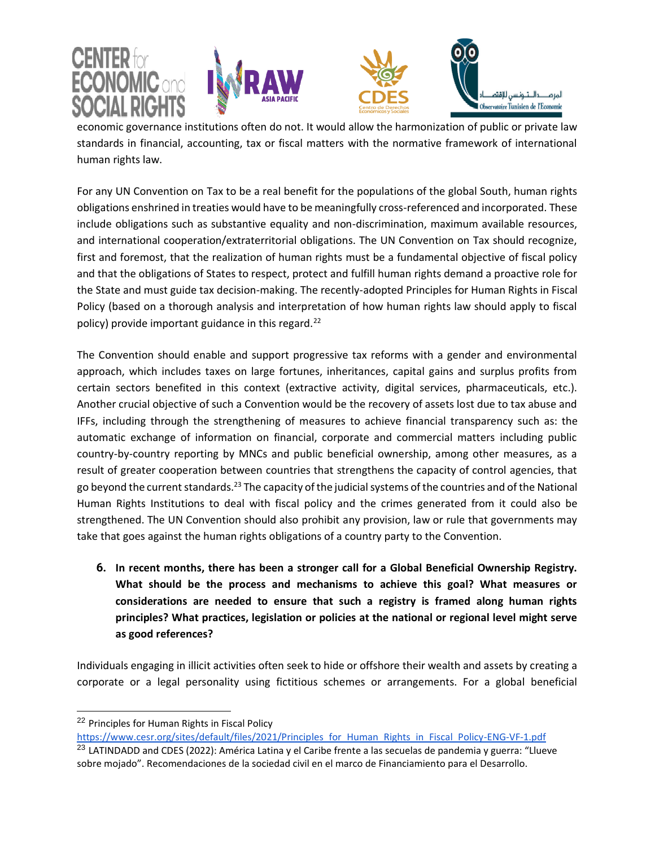







L economic governance institutions often do not. It would allow the harmonization of public or private law standards in financial, accounting, tax or fiscal matters with the normative framework of international human rights law.

For any UN Convention on Tax to be a real benefit for the populations of the global South, human rights obligations enshrined in treaties would have to be meaningfully cross-referenced and incorporated. These include obligations such as substantive equality and non-discrimination, maximum available resources, and international cooperation/extraterritorial obligations. The UN Convention on Tax should recognize, first and foremost, that the realization of human rights must be a fundamental objective of fiscal policy and that the obligations of States to respect, protect and fulfill human rights demand a proactive role for the State and must guide tax decision-making. The recently-adopted Principles for Human Rights in Fiscal Policy (based on a thorough analysis and interpretation of how human rights law should apply to fiscal policy) provide important guidance in this regard.<sup>22</sup>

The Convention should enable and support progressive tax reforms with a gender and environmental approach, which includes taxes on large fortunes, inheritances, capital gains and surplus profits from certain sectors benefited in this context (extractive activity, digital services, pharmaceuticals, etc.). Another crucial objective of such a Convention would be the recovery of assets lost due to tax abuse and IFFs, including through the strengthening of measures to achieve financial transparency such as: the automatic exchange of information on financial, corporate and commercial matters including public country-by-country reporting by MNCs and public beneficial ownership, among other measures, as a result of greater cooperation between countries that strengthens the capacity of control agencies, that go beyond the current standards.<sup>23</sup> The capacity of the judicial systems of the countries and of the National Human Rights Institutions to deal with fiscal policy and the crimes generated from it could also be strengthened. The UN Convention should also prohibit any provision, law or rule that governments may take that goes against the human rights obligations of a country party to the Convention.

**6. In recent months, there has been a stronger call for a Global Beneficial Ownership Registry. What should be the process and mechanisms to achieve this goal? What measures or considerations are needed to ensure that such a registry is framed along human rights principles? What practices, legislation or policies at the national or regional level might serve as good references?**

Individuals engaging in illicit activities often seek to hide or offshore their wealth and assets by creating a corporate or a legal personality using fictitious schemes or arrangements. For a global beneficial

<sup>&</sup>lt;sup>22</sup> Principles for Human Rights in Fiscal Policy

[https://www.cesr.org/sites/default/files/2021/Principles\\_for\\_Human\\_Rights\\_in\\_Fiscal\\_Policy-ENG-VF-1.pdf](https://www.cesr.org/sites/default/files/2021/Principles_for_Human_Rights_in_Fiscal_Policy-ENG-VF-1.pdf)

<sup>&</sup>lt;sup>23</sup> LATINDADD and CDES (2022): América Latina y el Caribe frente a las secuelas de pandemia y guerra: "Llueve sobre mojado". Recomendaciones de la sociedad civil en el marco de Financiamiento para el Desarrollo.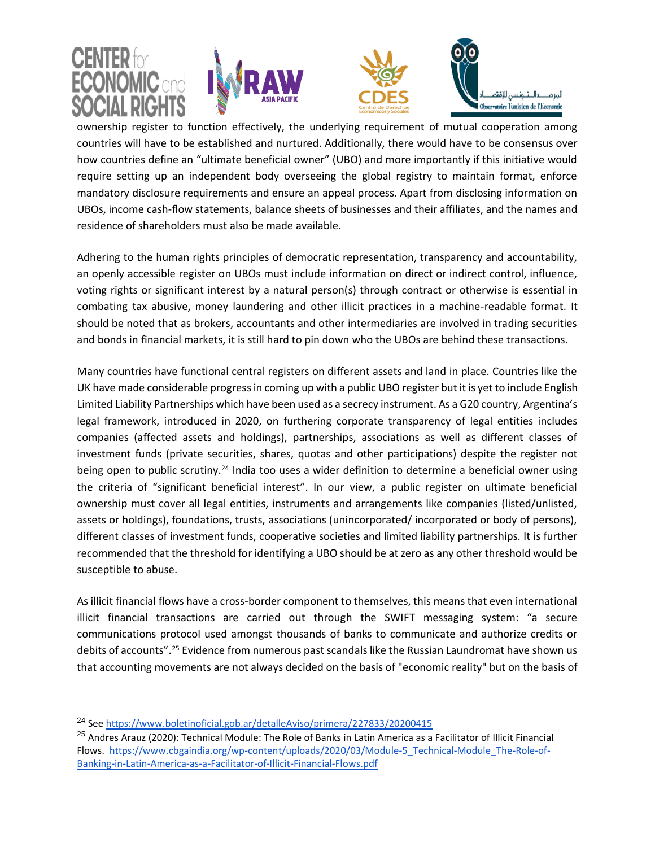

ownership register to function effectively, the underlying requirement of mutual cooperation among countries will have to be established and nurtured. Additionally, there would have to be consensus over how countries define an "ultimate beneficial owner" (UBO) and more importantly if this initiative would require setting up an independent body overseeing the global registry to maintain format, enforce mandatory disclosure requirements and ensure an appeal process. Apart from disclosing information on UBOs, income cash-flow statements, balance sheets of businesses and their affiliates, and the names and residence of shareholders must also be made available.

Adhering to the human rights principles of democratic representation, transparency and accountability, an openly accessible register on UBOs must include information on direct or indirect control, influence, voting rights or significant interest by a natural person(s) through contract or otherwise is essential in combating tax abusive, money laundering and other illicit practices in a machine-readable format. It should be noted that as brokers, accountants and other intermediaries are involved in trading securities and bonds in financial markets, it is still hard to pin down who the UBOs are behind these transactions.

Many countries have functional central registers on different assets and land in place. Countries like the UK have made considerable progress in coming up with a public UBO register but it is yet to include English Limited Liability Partnerships which have been used as a secrecy instrument. As a G20 country, Argentina's legal framework, introduced in 2020, on furthering corporate transparency of legal entities includes companies (affected assets and holdings), partnerships, associations as well as different classes of investment funds (private securities, shares, quotas and other participations) despite the register not being open to public scrutiny.<sup>24</sup> India too uses a wider definition to determine a beneficial owner using the criteria of "significant beneficial interest". In our view, a public register on ultimate beneficial ownership must cover all legal entities, instruments and arrangements like companies (listed/unlisted, assets or holdings), foundations, trusts, associations (unincorporated/ incorporated or body of persons), different classes of investment funds, cooperative societies and limited liability partnerships. It is further recommended that the threshold for identifying a UBO should be at zero as any other threshold would be susceptible to abuse.

As illicit financial flows have a cross-border component to themselves, this means that even international illicit financial transactions are carried out through the SWIFT messaging system: "a secure communications protocol used amongst thousands of banks to communicate and authorize credits or debits of accounts".<sup>25</sup> Evidence from numerous past scandals like the Russian Laundromat have shown us that accounting movements are not always decided on the basis of "economic reality" but on the basis of

<sup>24</sup> See<https://www.boletinoficial.gob.ar/detalleAviso/primera/227833/20200415>

<sup>&</sup>lt;sup>25</sup> Andres Arauz (2020): Technical Module: The Role of Banks in Latin America as a Facilitator of Illicit Financial Flows. [https://www.cbgaindia.org/wp-content/uploads/2020/03/Module-5\\_Technical-Module\\_The-Role-of-](https://www.cbgaindia.org/wp-content/uploads/2020/03/Module-5_Technical-Module_The-Role-of-Banking-in-Latin-America-as-a-Facilitator-of-Illicit-Financial-Flows.pdf)[Banking-in-Latin-America-as-a-Facilitator-of-Illicit-Financial-Flows.pdf](https://www.cbgaindia.org/wp-content/uploads/2020/03/Module-5_Technical-Module_The-Role-of-Banking-in-Latin-America-as-a-Facilitator-of-Illicit-Financial-Flows.pdf)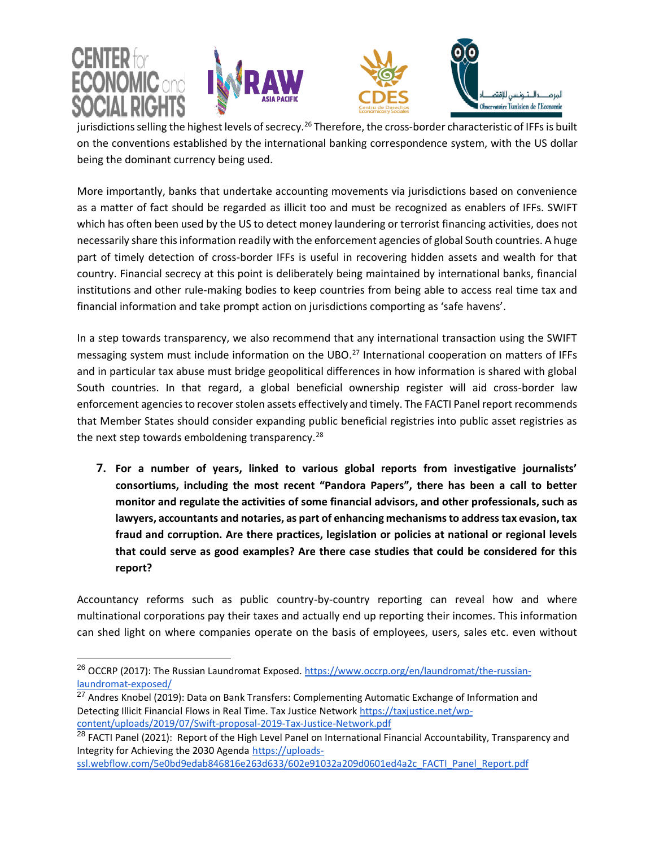







L jurisdictions selling the highest levels of secrecy.<sup>26</sup> Therefore, the cross-border characteristic of IFFs is built on the conventions established by the international banking correspondence system, with the US dollar being the dominant currency being used.

More importantly, banks that undertake accounting movements via jurisdictions based on convenience as a matter of fact should be regarded as illicit too and must be recognized as enablers of IFFs. SWIFT which has often been used by the US to detect money laundering or terrorist financing activities, does not necessarily share this information readily with the enforcement agencies of global South countries. A huge part of timely detection of cross-border IFFs is useful in recovering hidden assets and wealth for that country. Financial secrecy at this point is deliberately being maintained by international banks, financial institutions and other rule-making bodies to keep countries from being able to access real time tax and financial information and take prompt action on jurisdictions comporting as 'safe havens'.

In a step towards transparency, we also recommend that any international transaction using the SWIFT messaging system must include information on the UBO.<sup>27</sup> International cooperation on matters of IFFs and in particular tax abuse must bridge geopolitical differences in how information is shared with global South countries. In that regard, a global beneficial ownership register will aid cross-border law enforcement agencies to recover stolen assets effectively and timely. The FACTI Panel report recommends that Member States should consider expanding public beneficial registries into public asset registries as the next step towards emboldening transparency.<sup>28</sup>

**7. For a number of years, linked to various global reports from investigative journalists' consortiums, including the most recent "Pandora Papers", there has been a call to better monitor and regulate the activities of some financial advisors, and other professionals, such as lawyers, accountants and notaries, as part of enhancing mechanisms to address tax evasion, tax fraud and corruption. Are there practices, legislation or policies at national or regional levels that could serve as good examples? Are there case studies that could be considered for this report?**

Accountancy reforms such as public country-by-country reporting can reveal how and where multinational corporations pay their taxes and actually end up reporting their incomes. This information can shed light on where companies operate on the basis of employees, users, sales etc. even without

<sup>26</sup> OCCRP (2017): The Russian Laundromat Exposed[. https://www.occrp.org/en/laundromat/the-russian](https://www.occrp.org/en/laundromat/the-russian-laundromat-exposed/)[laundromat-exposed/](https://www.occrp.org/en/laundromat/the-russian-laundromat-exposed/) 

<sup>&</sup>lt;sup>27</sup> Andres Knobel (2019): Data on Bank Transfers: Complementing Automatic Exchange of Information and Detecting Illicit Financial Flows in Real Time. Tax Justice Network [https://taxjustice.net/wp](https://taxjustice.net/wp-content/uploads/2019/07/Swift-proposal-2019-Tax-Justice-Network.pdf)[content/uploads/2019/07/Swift-proposal-2019-Tax-Justice-Network.pdf](https://taxjustice.net/wp-content/uploads/2019/07/Swift-proposal-2019-Tax-Justice-Network.pdf) 

<sup>&</sup>lt;sup>28</sup> FACTI Panel (2021): Report of the High Level Panel on International Financial Accountability, Transparency and Integrity for Achieving the 2030 Agenda [https://uploads-](https://uploads-ssl.webflow.com/5e0bd9edab846816e263d633/602e91032a209d0601ed4a2c_FACTI_Panel_Report.pdf)

[ssl.webflow.com/5e0bd9edab846816e263d633/602e91032a209d0601ed4a2c\\_FACTI\\_Panel\\_Report.pdf](https://uploads-ssl.webflow.com/5e0bd9edab846816e263d633/602e91032a209d0601ed4a2c_FACTI_Panel_Report.pdf)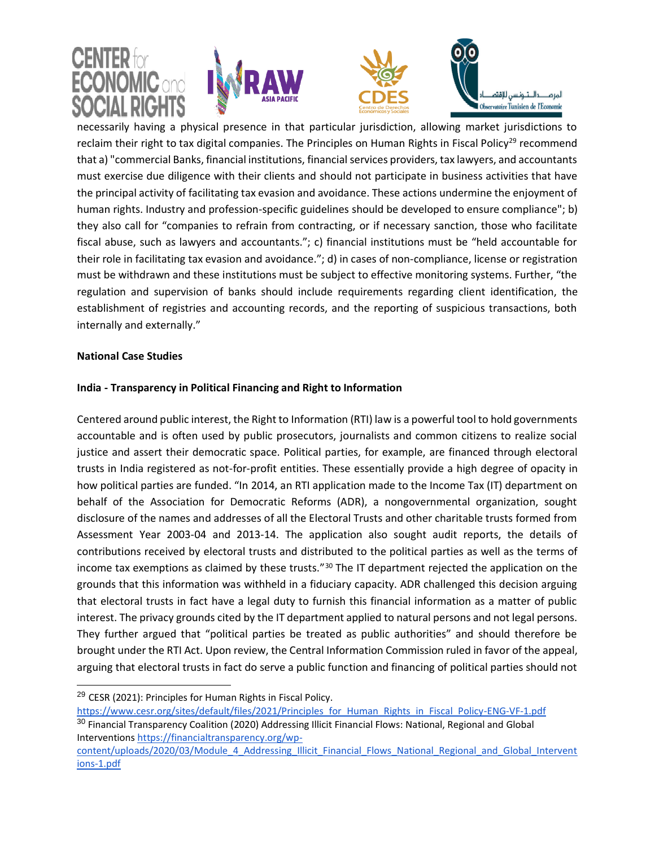

necessarily having a physical presence in that particular jurisdiction, allowing market jurisdictions to reclaim their right to tax digital companies. The Principles on Human Rights in Fiscal Policy<sup>29</sup> recommend that a) "commercial Banks, financial institutions, financial services providers, tax lawyers, and accountants must exercise due diligence with their clients and should not participate in business activities that have the principal activity of facilitating tax evasion and avoidance. These actions undermine the enjoyment of human rights. Industry and profession-specific guidelines should be developed to ensure compliance"; b) they also call for "companies to refrain from contracting, or if necessary sanction, those who facilitate fiscal abuse, such as lawyers and accountants."; c) financial institutions must be "held accountable for their role in facilitating tax evasion and avoidance."; d) in cases of non-compliance, license or registration must be withdrawn and these institutions must be subject to effective monitoring systems. Further, "the regulation and supervision of banks should include requirements regarding client identification, the establishment of registries and accounting records, and the reporting of suspicious transactions, both internally and externally."

#### **National Case Studies**

### **India - Transparency in Political Financing and Right to Information**

Centered around public interest, the Right to Information (RTI) law is a powerful tool to hold governments accountable and is often used by public prosecutors, journalists and common citizens to realize social justice and assert their democratic space. Political parties, for example, are financed through electoral trusts in India registered as not-for-profit entities. These essentially provide a high degree of opacity in how political parties are funded. "In 2014, an RTI application made to the Income Tax (IT) department on behalf of the Association for Democratic Reforms (ADR), a nongovernmental organization, sought disclosure of the names and addresses of all the Electoral Trusts and other charitable trusts formed from Assessment Year 2003-04 and 2013-14. The application also sought audit reports, the details of contributions received by electoral trusts and distributed to the political parties as well as the terms of income tax exemptions as claimed by these trusts."<sup>30</sup> The IT department rejected the application on the grounds that this information was withheld in a fiduciary capacity. ADR challenged this decision arguing that electoral trusts in fact have a legal duty to furnish this financial information as a matter of public interest. The privacy grounds cited by the IT department applied to natural persons and not legal persons. They further argued that "political parties be treated as public authorities" and should therefore be brought under the RTI Act. Upon review, the Central Information Commission ruled in favor of the appeal, arguing that electoral trusts in fact do serve a public function and financing of political parties should not

<sup>&</sup>lt;sup>29</sup> CESR (2021): Principles for Human Rights in Fiscal Policy.

[https://www.cesr.org/sites/default/files/2021/Principles\\_for\\_Human\\_Rights\\_in\\_Fiscal\\_Policy-ENG-VF-1.pdf](https://www.cesr.org/sites/default/files/2021/Principles_for_Human_Rights_in_Fiscal_Policy-ENG-VF-1.pdf)

<sup>&</sup>lt;sup>30</sup> Financial Transparency Coalition (2020) Addressing Illicit Financial Flows: National, Regional and Global Intervention[s https://financialtransparency.org/wp-](https://financialtransparency.org/wp-content/uploads/2020/03/Module_4_Addressing_Illicit_Financial_Flows_National_Regional_and_Global_Interventions-1.pdf)

[content/uploads/2020/03/Module\\_4\\_Addressing\\_Illicit\\_Financial\\_Flows\\_National\\_Regional\\_and\\_Global\\_Intervent](https://financialtransparency.org/wp-content/uploads/2020/03/Module_4_Addressing_Illicit_Financial_Flows_National_Regional_and_Global_Interventions-1.pdf) [ions-1.pdf](https://financialtransparency.org/wp-content/uploads/2020/03/Module_4_Addressing_Illicit_Financial_Flows_National_Regional_and_Global_Interventions-1.pdf)